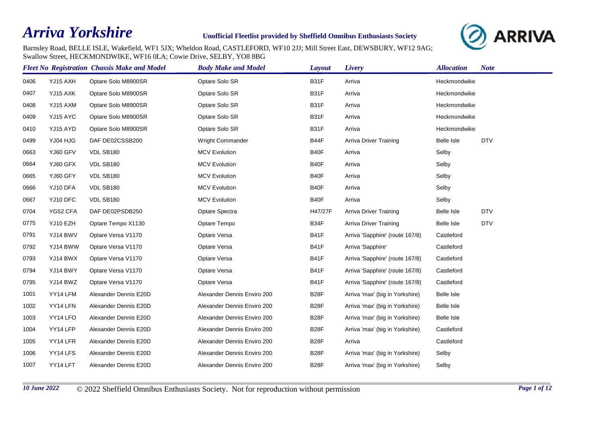## *Arriva Yorkshire*

## **Unofficial Fleetlist provided by Sheffield Omnibus Enthusiasts Society**



Barnsley Road, BELLE ISLE, Wakefield, WF1 5JX; Wheldon Road, CASTLEFORD, WF10 2JJ; Mill Street East, DEWSBURY, WF12 9AG; Swallow Street, HECKMONDWIKE, WF16 0LA; Cowie Drive, SELBY, YO8 8BG

|      |          | <b>Fleet No Registration Chassis Make and Model</b> | <b>Body Make and Model</b>  | Layout            | Livery                          | <b>Allocation</b> | <b>Note</b> |
|------|----------|-----------------------------------------------------|-----------------------------|-------------------|---------------------------------|-------------------|-------------|
| 0406 | YJ15 AXH | Optare Solo M8900SR                                 | Optare Solo SR              | B31F              | Arriva                          | Heckmondwike      |             |
| 0407 | YJ15 AXK | Optare Solo M8900SR                                 | Optare Solo SR              | <b>B31F</b>       | Arriva                          | Heckmondwike      |             |
| 0408 | YJ15 AXM | Optare Solo M8900SR                                 | Optare Solo SR              | <b>B31F</b>       | Arriva                          | Heckmondwike      |             |
| 0409 | YJ15 AYC | Optare Solo M8900SR                                 | Optare Solo SR              | B31F              | Arriva                          | Heckmondwike      |             |
| 0410 | YJ15 AYD | Optare Solo M8900SR                                 | Optare Solo SR              | <b>B31F</b>       | Arriva                          | Heckmondwike      |             |
| 0499 | YJ04 HJG | DAF DE02CSSB200                                     | Wright Commander            | B44F              | <b>Arriva Driver Training</b>   | <b>Belle Isle</b> | <b>DTV</b>  |
| 0663 | YJ60 GFV | VDL SB180                                           | <b>MCV Evolution</b>        | B40F              | Arriva                          | Selby             |             |
| 0664 | YJ60 GFX | VDL SB180                                           | <b>MCV Evolution</b>        | B40F              | Arriva                          | Selby             |             |
| 0665 | YJ60 GFY | VDL SB180                                           | <b>MCV Evolution</b>        | B40F              | Arriva                          | Selby             |             |
| 0666 | YJ10 DFA | VDL SB180                                           | <b>MCV Evolution</b>        | B40F              | Arriva                          | Selby             |             |
| 0667 | YJ10 DFC | VDL SB180                                           | <b>MCV Evolution</b>        | B40F              | Arriva                          | Selby             |             |
| 0704 | YG52 CFA | DAF DE02PSDB250                                     | Optare Spectra              | H47/27F           | <b>Arriva Driver Training</b>   | Belle Isle        | <b>DTV</b>  |
| 0775 | YJ10 EZH | Optare Tempo X1130                                  | Optare Tempo                | B34F              | <b>Arriva Driver Training</b>   | Belle Isle        | <b>DTV</b>  |
| 0791 | YJ14 BWV | Optare Versa V1170                                  | Optare Versa                | <b>B41F</b>       | Arriva 'Sapphire' (route 167/8) | Castleford        |             |
| 0792 | YJ14 BWW | Optare Versa V1170                                  | Optare Versa                | <b>B41F</b>       | Arriva 'Sapphire'               | Castleford        |             |
| 0793 | YJ14 BWX | Optare Versa V1170                                  | Optare Versa                | <b>B41F</b>       | Arriva 'Sapphire' (route 167/8) | Castleford        |             |
| 0794 | YJ14 BWY | Optare Versa V1170                                  | Optare Versa                | <b>B41F</b>       | Arriva 'Sapphire' (route 167/8) | Castleford        |             |
| 0795 | YJ14 BWZ | Optare Versa V1170                                  | Optare Versa                | <b>B41F</b>       | Arriva 'Sapphire' (route 167/8) | Castleford        |             |
| 1001 | YY14 LFM | Alexander Dennis E20D                               | Alexander Dennis Enviro 200 | B <sub>28</sub> F | Arriva 'max' (big in Yorkshire) | Belle Isle        |             |
| 1002 | YY14 LFN | Alexander Dennis E20D                               | Alexander Dennis Enviro 200 | B <sub>28</sub> F | Arriva 'max' (big in Yorkshire) | Belle Isle        |             |
| 1003 | YY14 LFO | Alexander Dennis E20D                               | Alexander Dennis Enviro 200 | <b>B28F</b>       | Arriva 'max' (big in Yorkshire) | Belle Isle        |             |
| 1004 | YY14 LFP | Alexander Dennis E20D                               | Alexander Dennis Enviro 200 | B <sub>28</sub> F | Arriva 'max' (big in Yorkshire) | Castleford        |             |
| 1005 | YY14 LFR | Alexander Dennis E20D                               | Alexander Dennis Enviro 200 | <b>B28F</b>       | Arriva                          | Castleford        |             |
| 1006 | YY14 LFS | Alexander Dennis E20D                               | Alexander Dennis Enviro 200 | <b>B28F</b>       | Arriva 'max' (big in Yorkshire) | Selby             |             |
| 1007 | YY14 LFT | Alexander Dennis E20D                               | Alexander Dennis Enviro 200 | B <sub>28</sub> F | Arriva 'max' (big in Yorkshire) | Selby             |             |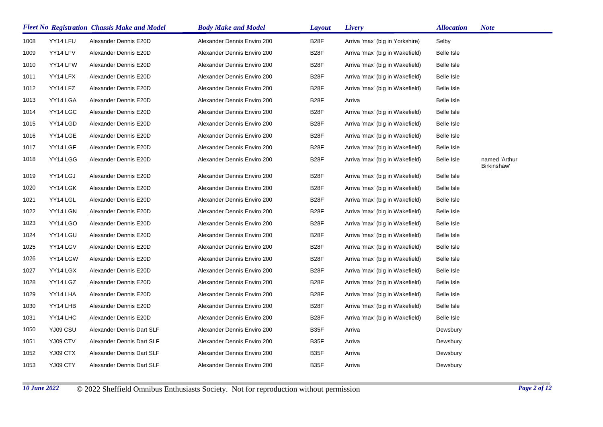|      |          | <b>Fleet No Registration Chassis Make and Model</b> | <b>Body Make and Model</b>  | <b>Layout</b>     | Livery                          | <b>Allocation</b> | <b>Note</b>                  |
|------|----------|-----------------------------------------------------|-----------------------------|-------------------|---------------------------------|-------------------|------------------------------|
| 1008 | YY14 LFU | Alexander Dennis E20D                               | Alexander Dennis Enviro 200 | <b>B28F</b>       | Arriva 'max' (big in Yorkshire) | Selby             |                              |
| 1009 | YY14 LFV | Alexander Dennis E20D                               | Alexander Dennis Enviro 200 | B <sub>28</sub> F | Arriva 'max' (big in Wakefield) | Belle Isle        |                              |
| 1010 | YY14 LFW | Alexander Dennis E20D                               | Alexander Dennis Enviro 200 | <b>B28F</b>       | Arriva 'max' (big in Wakefield) | Belle Isle        |                              |
| 1011 | YY14 LFX | Alexander Dennis E20D                               | Alexander Dennis Enviro 200 | <b>B28F</b>       | Arriva 'max' (big in Wakefield) | Belle Isle        |                              |
| 1012 | YY14 LFZ | Alexander Dennis E20D                               | Alexander Dennis Enviro 200 | <b>B28F</b>       | Arriva 'max' (big in Wakefield) | Belle Isle        |                              |
| 1013 | YY14 LGA | Alexander Dennis E20D                               | Alexander Dennis Enviro 200 | <b>B28F</b>       | Arriva                          | Belle Isle        |                              |
| 1014 | YY14 LGC | Alexander Dennis E20D                               | Alexander Dennis Enviro 200 | <b>B28F</b>       | Arriva 'max' (big in Wakefield) | Belle Isle        |                              |
| 1015 | YY14 LGD | Alexander Dennis E20D                               | Alexander Dennis Enviro 200 | <b>B28F</b>       | Arriva 'max' (big in Wakefield) | Belle Isle        |                              |
| 1016 | YY14 LGE | Alexander Dennis E20D                               | Alexander Dennis Enviro 200 | <b>B28F</b>       | Arriva 'max' (big in Wakefield) | Belle Isle        |                              |
| 1017 | YY14 LGF | Alexander Dennis E20D                               | Alexander Dennis Enviro 200 | <b>B28F</b>       | Arriva 'max' (big in Wakefield) | Belle Isle        |                              |
| 1018 | YY14 LGG | Alexander Dennis E20D                               | Alexander Dennis Enviro 200 | <b>B28F</b>       | Arriva 'max' (big in Wakefield) | Belle Isle        | named 'Arthur<br>Birkinshaw' |
| 1019 | YY14 LGJ | Alexander Dennis E20D                               | Alexander Dennis Enviro 200 | <b>B28F</b>       | Arriva 'max' (big in Wakefield) | Belle Isle        |                              |
| 1020 | YY14 LGK | Alexander Dennis E20D                               | Alexander Dennis Enviro 200 | <b>B28F</b>       | Arriva 'max' (big in Wakefield) | Belle Isle        |                              |
| 1021 | YY14 LGL | Alexander Dennis E20D                               | Alexander Dennis Enviro 200 | <b>B28F</b>       | Arriva 'max' (big in Wakefield) | Belle Isle        |                              |
| 1022 | YY14 LGN | Alexander Dennis E20D                               | Alexander Dennis Enviro 200 | <b>B28F</b>       | Arriva 'max' (big in Wakefield) | Belle Isle        |                              |
| 1023 | YY14 LGO | Alexander Dennis E20D                               | Alexander Dennis Enviro 200 | <b>B28F</b>       | Arriva 'max' (big in Wakefield) | Belle Isle        |                              |
| 1024 | YY14 LGU | Alexander Dennis E20D                               | Alexander Dennis Enviro 200 | <b>B28F</b>       | Arriva 'max' (big in Wakefield) | Belle Isle        |                              |
| 1025 | YY14 LGV | Alexander Dennis E20D                               | Alexander Dennis Enviro 200 | B <sub>28</sub> F | Arriva 'max' (big in Wakefield) | Belle Isle        |                              |
| 1026 | YY14 LGW | Alexander Dennis E20D                               | Alexander Dennis Enviro 200 | <b>B28F</b>       | Arriva 'max' (big in Wakefield) | Belle Isle        |                              |
| 1027 | YY14 LGX | Alexander Dennis E20D                               | Alexander Dennis Enviro 200 | B <sub>28</sub> F | Arriva 'max' (big in Wakefield) | Belle Isle        |                              |
| 1028 | YY14 LGZ | Alexander Dennis E20D                               | Alexander Dennis Enviro 200 | B <sub>28</sub> F | Arriva 'max' (big in Wakefield) | Belle Isle        |                              |
| 1029 | YY14 LHA | Alexander Dennis E20D                               | Alexander Dennis Enviro 200 | <b>B28F</b>       | Arriva 'max' (big in Wakefield) | Belle Isle        |                              |
| 1030 | YY14 LHB | Alexander Dennis E20D                               | Alexander Dennis Enviro 200 | B <sub>28</sub> F | Arriva 'max' (big in Wakefield) | Belle Isle        |                              |
| 1031 | YY14 LHC | Alexander Dennis E20D                               | Alexander Dennis Enviro 200 | <b>B28F</b>       | Arriva 'max' (big in Wakefield) | Belle Isle        |                              |
| 1050 | YJ09 CSU | Alexander Dennis Dart SLF                           | Alexander Dennis Enviro 200 | B <sub>35</sub> F | Arriva                          | Dewsbury          |                              |
| 1051 | YJ09 CTV | Alexander Dennis Dart SLF                           | Alexander Dennis Enviro 200 | B <sub>35</sub> F | Arriva                          | Dewsbury          |                              |
| 1052 | YJ09 CTX | Alexander Dennis Dart SLF                           | Alexander Dennis Enviro 200 | B <sub>35</sub> F | Arriva                          | Dewsbury          |                              |
| 1053 | YJ09 CTY | Alexander Dennis Dart SLF                           | Alexander Dennis Enviro 200 | B35F              | Arriva                          | Dewsbury          |                              |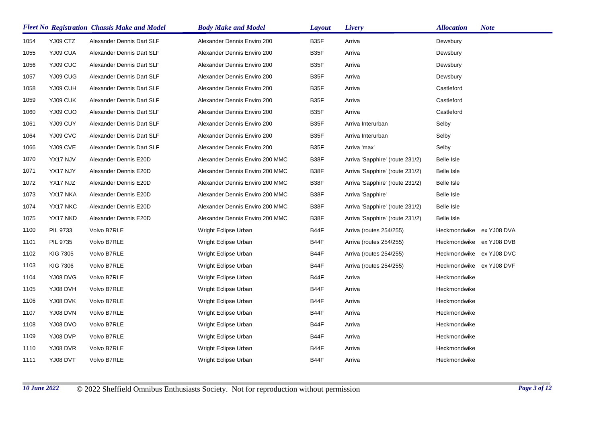|      |                 | <b>Fleet No Registration Chassis Make and Model</b> | <b>Body Make and Model</b>      | <b>Layout</b>     | Livery                          | <b>Allocation</b>        | <b>Note</b> |
|------|-----------------|-----------------------------------------------------|---------------------------------|-------------------|---------------------------------|--------------------------|-------------|
| 1054 | YJ09 CTZ        | Alexander Dennis Dart SLF                           | Alexander Dennis Enviro 200     | B <sub>35</sub> F | Arriva                          | Dewsbury                 |             |
| 1055 | YJ09 CUA        | Alexander Dennis Dart SLF                           | Alexander Dennis Enviro 200     | B35F              | Arriva                          | Dewsbury                 |             |
| 1056 | YJ09 CUC        | Alexander Dennis Dart SLF                           | Alexander Dennis Enviro 200     | B35F              | Arriva                          | Dewsbury                 |             |
| 1057 | YJ09 CUG        | Alexander Dennis Dart SLF                           | Alexander Dennis Enviro 200     | B35F              | Arriva                          | Dewsbury                 |             |
| 1058 | YJ09 CUH        | Alexander Dennis Dart SLF                           | Alexander Dennis Enviro 200     | B35F              | Arriva                          | Castleford               |             |
| 1059 | YJ09 CUK        | Alexander Dennis Dart SLF                           | Alexander Dennis Enviro 200     | B35F              | Arriva                          | Castleford               |             |
| 1060 | YJ09 CUO        | Alexander Dennis Dart SLF                           | Alexander Dennis Enviro 200     | B35F              | Arriva                          | Castleford               |             |
| 1061 | YJ09 CUY        | Alexander Dennis Dart SLF                           | Alexander Dennis Enviro 200     | B35F              | Arriva Interurban               | Selby                    |             |
| 1064 | YJ09 CVC        | Alexander Dennis Dart SLF                           | Alexander Dennis Enviro 200     | B35F              | Arriva Interurban               | Selby                    |             |
| 1066 | YJ09 CVE        | Alexander Dennis Dart SLF                           | Alexander Dennis Enviro 200     | B35F              | Arriva 'max'                    | Selby                    |             |
| 1070 | YX17 NJV        | Alexander Dennis E20D                               | Alexander Dennis Enviro 200 MMC | B38F              | Arriva 'Sapphire' (route 231/2) | Belle Isle               |             |
| 1071 | YX17 NJY        | Alexander Dennis E20D                               | Alexander Dennis Enviro 200 MMC | B38F              | Arriva 'Sapphire' (route 231/2) | Belle Isle               |             |
| 1072 | YX17 NJZ        | Alexander Dennis E20D                               | Alexander Dennis Enviro 200 MMC | B38F              | Arriva 'Sapphire' (route 231/2) | Belle Isle               |             |
| 1073 | YX17 NKA        | Alexander Dennis E20D                               | Alexander Dennis Enviro 200 MMC | B38F              | Arriva 'Sapphire'               | Belle Isle               |             |
| 1074 | YX17 NKC        | Alexander Dennis E20D                               | Alexander Dennis Enviro 200 MMC | B38F              | Arriva 'Sapphire' (route 231/2) | Belle Isle               |             |
| 1075 | YX17 NKD        | Alexander Dennis E20D                               | Alexander Dennis Enviro 200 MMC | B38F              | Arriva 'Sapphire' (route 231/2) | Belle Isle               |             |
| 1100 | PIL 9733        | Volvo B7RLE                                         | Wright Eclipse Urban            | B44F              | Arriva (routes 254/255)         | Heckmondwike ex YJ08 DVA |             |
| 1101 | PIL 9735        | Volvo B7RLE                                         | Wright Eclipse Urban            | B44F              | Arriva (routes 254/255)         | Heckmondwike ex YJ08 DVB |             |
| 1102 | <b>KIG 7305</b> | Volvo B7RLE                                         | Wright Eclipse Urban            | B44F              | Arriva (routes 254/255)         | Heckmondwike ex YJ08 DVC |             |
| 1103 | <b>KIG 7306</b> | Volvo B7RLE                                         | Wright Eclipse Urban            | B44F              | Arriva (routes 254/255)         | Heckmondwike ex YJ08 DVF |             |
| 1104 | YJ08 DVG        | Volvo B7RLE                                         | Wright Eclipse Urban            | B44F              | Arriva                          | Heckmondwike             |             |
| 1105 | YJ08 DVH        | Volvo B7RLE                                         | Wright Eclipse Urban            | B44F              | Arriva                          | Heckmondwike             |             |
| 1106 | YJ08 DVK        | Volvo B7RLE                                         | Wright Eclipse Urban            | B44F              | Arriva                          | Heckmondwike             |             |
| 1107 | YJ08 DVN        | Volvo B7RLE                                         | Wright Eclipse Urban            | B44F              | Arriva                          | Heckmondwike             |             |
| 1108 | YJ08 DVO        | Volvo B7RLE                                         | Wright Eclipse Urban            | B44F              | Arriva                          | Heckmondwike             |             |
| 1109 | YJ08 DVP        | Volvo B7RLE                                         | Wright Eclipse Urban            | B44F              | Arriva                          | Heckmondwike             |             |
| 1110 | YJ08 DVR        | Volvo B7RLE                                         | Wright Eclipse Urban            | B44F              | Arriva                          | Heckmondwike             |             |
| 1111 | YJ08 DVT        | Volvo B7RLE                                         | Wright Eclipse Urban            | B44F              | Arriva                          | Heckmondwike             |             |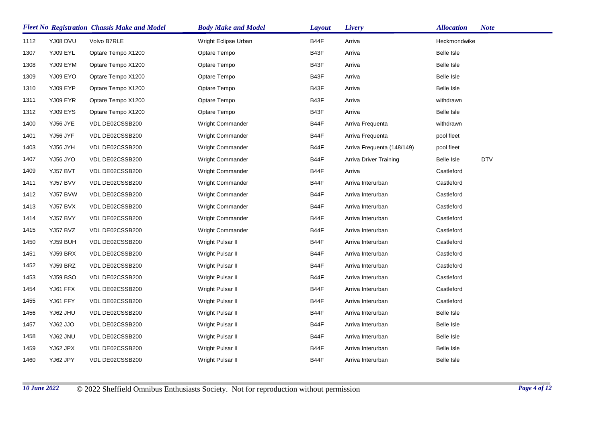|      |                 | <b>Fleet No Registration Chassis Make and Model</b> | <b>Body Make and Model</b> | <b>Layout</b> | Livery                        | <b>Allocation</b> | <b>Note</b> |
|------|-----------------|-----------------------------------------------------|----------------------------|---------------|-------------------------------|-------------------|-------------|
| 1112 | <b>YJ08 DVU</b> | Volvo B7RLE                                         | Wright Eclipse Urban       | B44F          | Arriva                        | Heckmondwike      |             |
| 1307 | YJ09 EYL        | Optare Tempo X1200                                  | Optare Tempo               | B43F          | Arriva                        | Belle Isle        |             |
| 1308 | YJ09 EYM        | Optare Tempo X1200                                  | Optare Tempo               | B43F          | Arriva                        | Belle Isle        |             |
| 1309 | YJ09 EYO        | Optare Tempo X1200                                  | Optare Tempo               | B43F          | Arriva                        | Belle Isle        |             |
| 1310 | YJ09 EYP        | Optare Tempo X1200                                  | Optare Tempo               | B43F          | Arriva                        | Belle Isle        |             |
| 1311 | YJ09 EYR        | Optare Tempo X1200                                  | Optare Tempo               | B43F          | Arriva                        | withdrawn         |             |
| 1312 | YJ09 EYS        | Optare Tempo X1200                                  | Optare Tempo               | B43F          | Arriva                        | Belle Isle        |             |
| 1400 | YJ56 JYE        | VDL DE02CSSB200                                     | Wright Commander           | B44F          | Arriva Frequenta              | withdrawn         |             |
| 1401 | YJ56 JYF        | VDL DE02CSSB200                                     | <b>Wright Commander</b>    | B44F          | Arriva Frequenta              | pool fleet        |             |
| 1403 | YJ56 JYH        | VDL DE02CSSB200                                     | Wright Commander           | B44F          | Arriva Frequenta (148/149)    | pool fleet        |             |
| 1407 | YJ56 JYO        | VDL DE02CSSB200                                     | Wright Commander           | B44F          | <b>Arriva Driver Training</b> | Belle Isle        | <b>DTV</b>  |
| 1409 | YJ57 BVT        | VDL DE02CSSB200                                     | Wright Commander           | B44F          | Arriva                        | Castleford        |             |
| 1411 | YJ57 BVV        | VDL DE02CSSB200                                     | <b>Wright Commander</b>    | B44F          | Arriva Interurban             | Castleford        |             |
| 1412 | YJ57 BVW        | VDL DE02CSSB200                                     | Wright Commander           | B44F          | Arriva Interurban             | Castleford        |             |
| 1413 | YJ57 BVX        | VDL DE02CSSB200                                     | <b>Wright Commander</b>    | B44F          | Arriva Interurban             | Castleford        |             |
| 1414 | YJ57 BVY        | VDL DE02CSSB200                                     | <b>Wright Commander</b>    | B44F          | Arriva Interurban             | Castleford        |             |
| 1415 | YJ57 BVZ        | VDL DE02CSSB200                                     | <b>Wright Commander</b>    | B44F          | Arriva Interurban             | Castleford        |             |
| 1450 | YJ59 BUH        | VDL DE02CSSB200                                     | Wright Pulsar II           | B44F          | Arriva Interurban             | Castleford        |             |
| 1451 | YJ59 BRX        | VDL DE02CSSB200                                     | Wright Pulsar II           | B44F          | Arriva Interurban             | Castleford        |             |
| 1452 | YJ59 BRZ        | VDL DE02CSSB200                                     | Wright Pulsar II           | B44F          | Arriva Interurban             | Castleford        |             |
| 1453 | YJ59 BSO        | VDL DE02CSSB200                                     | Wright Pulsar II           | B44F          | Arriva Interurban             | Castleford        |             |
| 1454 | YJ61 FFX        | VDL DE02CSSB200                                     | Wright Pulsar II           | B44F          | Arriva Interurban             | Castleford        |             |
| 1455 | YJ61 FFY        | VDL DE02CSSB200                                     | Wright Pulsar II           | B44F          | Arriva Interurban             | Castleford        |             |
| 1456 | YJ62 JHU        | VDL DE02CSSB200                                     | Wright Pulsar II           | B44F          | Arriva Interurban             | Belle Isle        |             |
| 1457 | OLL SalY        | VDL DE02CSSB200                                     | Wright Pulsar II           | B44F          | Arriva Interurban             | Belle Isle        |             |
| 1458 | YJ62 JNU        | VDL DE02CSSB200                                     | Wright Pulsar II           | B44F          | Arriva Interurban             | Belle Isle        |             |
| 1459 | YJ62 JPX        | VDL DE02CSSB200                                     | Wright Pulsar II           | B44F          | Arriva Interurban             | Belle Isle        |             |
| 1460 | YJ62 JPY        | VDL DE02CSSB200                                     | Wright Pulsar II           | B44F          | Arriva Interurban             | <b>Belle Isle</b> |             |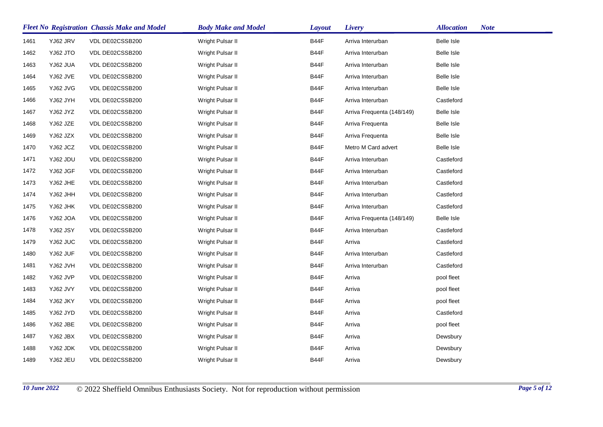|      |          | <b>Fleet No Registration Chassis Make and Model</b> | <b>Body Make and Model</b> | <b>Layout</b> | Livery                     | <b>Allocation</b> | <b>Note</b> |
|------|----------|-----------------------------------------------------|----------------------------|---------------|----------------------------|-------------------|-------------|
| 1461 | YJ62 JRV | VDL DE02CSSB200                                     | Wright Pulsar II           | B44F          | Arriva Interurban          | Belle Isle        |             |
| 1462 | YJ62 JTO | VDL DE02CSSB200                                     | Wright Pulsar II           | B44F          | Arriva Interurban          | Belle Isle        |             |
| 1463 | YJ62 JUA | VDL DE02CSSB200                                     | Wright Pulsar II           | B44F          | Arriva Interurban          | Belle Isle        |             |
| 1464 | YJ62 JVE | VDL DE02CSSB200                                     | Wright Pulsar II           | B44F          | Arriva Interurban          | Belle Isle        |             |
| 1465 | YJ62 JVG | VDL DE02CSSB200                                     | Wright Pulsar II           | B44F          | Arriva Interurban          | Belle Isle        |             |
| 1466 | YJ62 JYH | VDL DE02CSSB200                                     | Wright Pulsar II           | B44F          | Arriva Interurban          | Castleford        |             |
| 1467 | YJ62 JYZ | VDL DE02CSSB200                                     | Wright Pulsar II           | B44F          | Arriva Frequenta (148/149) | Belle Isle        |             |
| 1468 | YJ62 JZE | VDL DE02CSSB200                                     | Wright Pulsar II           | B44F          | Arriva Frequenta           | Belle Isle        |             |
| 1469 | YJ62 JZX | VDL DE02CSSB200                                     | Wright Pulsar II           | B44F          | Arriva Frequenta           | Belle Isle        |             |
| 1470 | YJ62 JCZ | VDL DE02CSSB200                                     | Wright Pulsar II           | B44F          | Metro M Card advert        | Belle Isle        |             |
| 1471 | YJ62 JDU | VDL DE02CSSB200                                     | Wright Pulsar II           | B44F          | Arriva Interurban          | Castleford        |             |
| 1472 | YJ62 JGF | VDL DE02CSSB200                                     | Wright Pulsar II           | B44F          | Arriva Interurban          | Castleford        |             |
| 1473 | YJ62 JHE | VDL DE02CSSB200                                     | Wright Pulsar II           | B44F          | Arriva Interurban          | Castleford        |             |
| 1474 | YJ62 JHH | VDL DE02CSSB200                                     | Wright Pulsar II           | B44F          | Arriva Interurban          | Castleford        |             |
| 1475 | YJ62 JHK | VDL DE02CSSB200                                     | Wright Pulsar II           | B44F          | Arriva Interurban          | Castleford        |             |
| 1476 | YJ62 JOA | VDL DE02CSSB200                                     | Wright Pulsar II           | B44F          | Arriva Frequenta (148/149) | Belle Isle        |             |
| 1478 | YJ62 JSY | VDL DE02CSSB200                                     | Wright Pulsar II           | B44F          | Arriva Interurban          | Castleford        |             |
| 1479 | YJ62 JUC | VDL DE02CSSB200                                     | Wright Pulsar II           | B44F          | Arriva                     | Castleford        |             |
| 1480 | YJ62 JUF | VDL DE02CSSB200                                     | Wright Pulsar II           | B44F          | Arriva Interurban          | Castleford        |             |
| 1481 | YJ62 JVH | VDL DE02CSSB200                                     | Wright Pulsar II           | B44F          | Arriva Interurban          | Castleford        |             |
| 1482 | YJ62 JVP | VDL DE02CSSB200                                     | Wright Pulsar II           | B44F          | Arriva                     | pool fleet        |             |
| 1483 | YJ62 JVY | VDL DE02CSSB200                                     | Wright Pulsar II           | B44F          | Arriva                     | pool fleet        |             |
| 1484 | YJ62 JKY | VDL DE02CSSB200                                     | Wright Pulsar II           | B44F          | Arriva                     | pool fleet        |             |
| 1485 | YJ62 JYD | VDL DE02CSSB200                                     | Wright Pulsar II           | B44F          | Arriva                     | Castleford        |             |
| 1486 | YJ62 JBE | VDL DE02CSSB200                                     | Wright Pulsar II           | B44F          | Arriva                     | pool fleet        |             |
| 1487 | YJ62 JBX | VDL DE02CSSB200                                     | Wright Pulsar II           | B44F          | Arriva                     | Dewsbury          |             |
| 1488 | YJ62 JDK | VDL DE02CSSB200                                     | Wright Pulsar II           | B44F          | Arriva                     | Dewsbury          |             |
| 1489 | YJ62 JEU | VDL DE02CSSB200                                     | Wright Pulsar II           | B44F          | Arriva                     | Dewsbury          |             |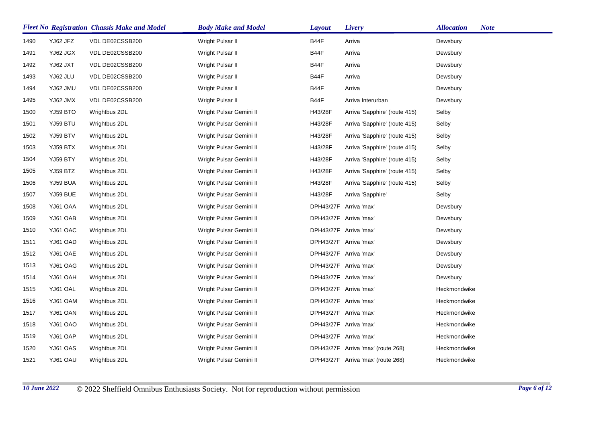|      |                 | <b>Fleet No Registration Chassis Make and Model</b> | <b>Body Make and Model</b> | <b>Layout</b> | Livery                             | <b>Allocation</b><br><b>Note</b> |
|------|-----------------|-----------------------------------------------------|----------------------------|---------------|------------------------------------|----------------------------------|
| 1490 | YJ62 JFZ        | VDL DE02CSSB200                                     | Wright Pulsar II           | B44F          | Arriva                             | Dewsbury                         |
| 1491 | YJ62 JGX        | VDL DE02CSSB200                                     | Wright Pulsar II           | B44F          | Arriva                             | Dewsbury                         |
| 1492 | YJ62 JXT        | VDL DE02CSSB200                                     | Wright Pulsar II           | B44F          | Arriva                             | Dewsbury                         |
| 1493 | YJ62 JLU        | VDL DE02CSSB200                                     | Wright Pulsar II           | B44F          | Arriva                             | Dewsbury                         |
| 1494 | <b>YJ62 JMU</b> | VDL DE02CSSB200                                     | Wright Pulsar II           | B44F          | Arriva                             | Dewsbury                         |
| 1495 | YJ62 JMX        | VDL DE02CSSB200                                     | Wright Pulsar II           | B44F          | Arriva Interurban                  | Dewsbury                         |
| 1500 | YJ59 BTO        | Wrightbus 2DL                                       | Wright Pulsar Gemini II    | H43/28F       | Arriva 'Sapphire' (route 415)      | Selby                            |
| 1501 | YJ59 BTU        | Wrightbus 2DL                                       | Wright Pulsar Gemini II    | H43/28F       | Arriva 'Sapphire' (route 415)      | Selby                            |
| 1502 | YJ59 BTV        | Wrightbus 2DL                                       | Wright Pulsar Gemini II    | H43/28F       | Arriva 'Sapphire' (route 415)      | Selby                            |
| 1503 | YJ59 BTX        | Wrightbus 2DL                                       | Wright Pulsar Gemini II    | H43/28F       | Arriva 'Sapphire' (route 415)      | Selby                            |
| 1504 | YJ59 BTY        | Wrightbus 2DL                                       | Wright Pulsar Gemini II    | H43/28F       | Arriva 'Sapphire' (route 415)      | Selby                            |
| 1505 | YJ59 BTZ        | Wrightbus 2DL                                       | Wright Pulsar Gemini II    | H43/28F       | Arriva 'Sapphire' (route 415)      | Selby                            |
| 1506 | YJ59 BUA        | Wrightbus 2DL                                       | Wright Pulsar Gemini II    | H43/28F       | Arriva 'Sapphire' (route 415)      | Selby                            |
| 1507 | YJ59 BUE        | Wrightbus 2DL                                       | Wright Pulsar Gemini II    | H43/28F       | Arriva 'Sapphire'                  | Selby                            |
| 1508 | YJ61 OAA        | Wrightbus 2DL                                       | Wright Pulsar Gemini II    |               | DPH43/27F Arriva 'max'             | Dewsbury                         |
| 1509 | YJ61 OAB        | Wrightbus 2DL                                       | Wright Pulsar Gemini II    |               | DPH43/27F Arriva 'max'             | Dewsbury                         |
| 1510 | YJ61 OAC        | Wrightbus 2DL                                       | Wright Pulsar Gemini II    |               | DPH43/27F Arriva 'max'             | Dewsbury                         |
| 1511 | YJ61 OAD        | Wrightbus 2DL                                       | Wright Pulsar Gemini II    |               | DPH43/27F Arriva 'max'             | Dewsbury                         |
| 1512 | YJ61 OAE        | Wrightbus 2DL                                       | Wright Pulsar Gemini II    |               | DPH43/27F Arriva 'max'             | Dewsbury                         |
| 1513 | YJ61 OAG        | Wrightbus 2DL                                       | Wright Pulsar Gemini II    |               | DPH43/27F Arriva 'max'             | Dewsbury                         |
| 1514 | YJ61 OAH        | Wrightbus 2DL                                       | Wright Pulsar Gemini II    |               | DPH43/27F Arriva 'max'             | Dewsbury                         |
| 1515 | YJ61 OAL        | Wrightbus 2DL                                       | Wright Pulsar Gemini II    |               | DPH43/27F Arriva 'max'             | Heckmondwike                     |
| 1516 | YJ61 OAM        | Wrightbus 2DL                                       | Wright Pulsar Gemini II    |               | DPH43/27F Arriva 'max'             | Heckmondwike                     |
| 1517 | YJ61 OAN        | Wrightbus 2DL                                       | Wright Pulsar Gemini II    |               | DPH43/27F Arriva 'max'             | Heckmondwike                     |
| 1518 | YJ61 OAO        | Wrightbus 2DL                                       | Wright Pulsar Gemini II    |               | DPH43/27F Arriva 'max'             | Heckmondwike                     |
| 1519 | YJ61 OAP        | Wrightbus 2DL                                       | Wright Pulsar Gemini II    |               | DPH43/27F Arriva 'max'             | Heckmondwike                     |
| 1520 | YJ61 OAS        | Wrightbus 2DL                                       | Wright Pulsar Gemini II    |               | DPH43/27F Arriva 'max' (route 268) | Heckmondwike                     |
| 1521 | YJ61 OAU        | Wrightbus 2DL                                       | Wright Pulsar Gemini II    |               | DPH43/27F Arriva 'max' (route 268) | Heckmondwike                     |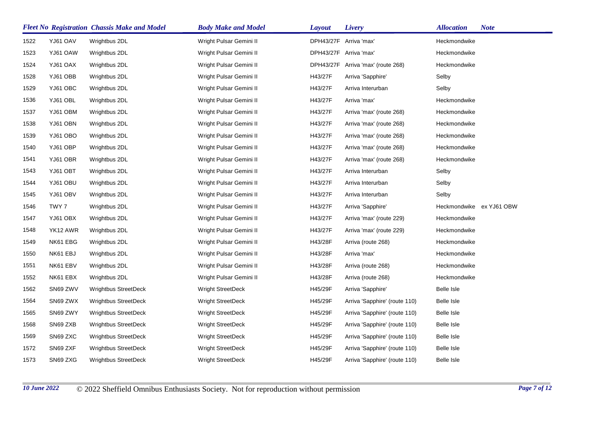|      |          | <b>Fleet No Registration Chassis Make and Model</b> | <b>Body Make and Model</b> | <b>Layout</b> | Livery                             | <b>Allocation</b>        | <b>Note</b> |
|------|----------|-----------------------------------------------------|----------------------------|---------------|------------------------------------|--------------------------|-------------|
| 1522 | YJ61 OAV | Wrightbus 2DL                                       | Wright Pulsar Gemini II    |               | DPH43/27F Arriva 'max'             | Heckmondwike             |             |
| 1523 | YJ61 OAW | Wrightbus 2DL                                       | Wright Pulsar Gemini II    |               | DPH43/27F Arriva 'max'             | Heckmondwike             |             |
| 1524 | YJ61 OAX | Wrightbus 2DL                                       | Wright Pulsar Gemini II    |               | DPH43/27F Arriva 'max' (route 268) | Heckmondwike             |             |
| 1528 | YJ61 OBB | Wrightbus 2DL                                       | Wright Pulsar Gemini II    | H43/27F       | Arriva 'Sapphire'                  | Selby                    |             |
| 1529 | YJ61 OBC | Wrightbus 2DL                                       | Wright Pulsar Gemini II    | H43/27F       | Arriva Interurban                  | Selby                    |             |
| 1536 | YJ61 OBL | Wrightbus 2DL                                       | Wright Pulsar Gemini II    | H43/27F       | Arriva 'max'                       | Heckmondwike             |             |
| 1537 | YJ61 OBM | Wrightbus 2DL                                       | Wright Pulsar Gemini II    | H43/27F       | Arriva 'max' (route 268)           | Heckmondwike             |             |
| 1538 | YJ61 OBN | Wrightbus 2DL                                       | Wright Pulsar Gemini II    | H43/27F       | Arriva 'max' (route 268)           | Heckmondwike             |             |
| 1539 | YJ61 OBO | Wrightbus 2DL                                       | Wright Pulsar Gemini II    | H43/27F       | Arriva 'max' (route 268)           | Heckmondwike             |             |
| 1540 | YJ61 OBP | Wrightbus 2DL                                       | Wright Pulsar Gemini II    | H43/27F       | Arriva 'max' (route 268)           | Heckmondwike             |             |
| 1541 | YJ61 OBR | Wrightbus 2DL                                       | Wright Pulsar Gemini II    | H43/27F       | Arriva 'max' (route 268)           | Heckmondwike             |             |
| 1543 | YJ61 OBT | Wrightbus 2DL                                       | Wright Pulsar Gemini II    | H43/27F       | Arriva Interurban                  | Selby                    |             |
| 1544 | YJ61 OBU | Wrightbus 2DL                                       | Wright Pulsar Gemini II    | H43/27F       | Arriva Interurban                  | Selby                    |             |
| 1545 | YJ61 OBV | Wrightbus 2DL                                       | Wright Pulsar Gemini II    | H43/27F       | Arriva Interurban                  | Selby                    |             |
| 1546 | TWY 7    | Wrightbus 2DL                                       | Wright Pulsar Gemini II    | H43/27F       | Arriva 'Sapphire'                  | Heckmondwike ex YJ61 OBW |             |
| 1547 | YJ61 OBX | Wrightbus 2DL                                       | Wright Pulsar Gemini II    | H43/27F       | Arriva 'max' (route 229)           | Heckmondwike             |             |
| 1548 | YK12 AWR | Wrightbus 2DL                                       | Wright Pulsar Gemini II    | H43/27F       | Arriva 'max' (route 229)           | Heckmondwike             |             |
| 1549 | NK61 EBG | Wrightbus 2DL                                       | Wright Pulsar Gemini II    | H43/28F       | Arriva (route 268)                 | Heckmondwike             |             |
| 1550 | NK61 EBJ | Wrightbus 2DL                                       | Wright Pulsar Gemini II    | H43/28F       | Arriva 'max'                       | Heckmondwike             |             |
| 1551 | NK61 EBV | Wrightbus 2DL                                       | Wright Pulsar Gemini II    | H43/28F       | Arriva (route 268)                 | Heckmondwike             |             |
| 1552 | NK61 EBX | Wrightbus 2DL                                       | Wright Pulsar Gemini II    | H43/28F       | Arriva (route 268)                 | Heckmondwike             |             |
| 1562 | SN69 ZWV | <b>Wrightbus StreetDeck</b>                         | Wright StreetDeck          | H45/29F       | Arriva 'Sapphire'                  | Belle Isle               |             |
| 1564 | SN69 ZWX | <b>Wrightbus StreetDeck</b>                         | <b>Wright StreetDeck</b>   | H45/29F       | Arriva 'Sapphire' (route 110)      | Belle Isle               |             |
| 1565 | SN69 ZWY | <b>Wrightbus StreetDeck</b>                         | Wright StreetDeck          | H45/29F       | Arriva 'Sapphire' (route 110)      | Belle Isle               |             |
| 1568 | SN69 ZXB | <b>Wrightbus StreetDeck</b>                         | <b>Wright StreetDeck</b>   | H45/29F       | Arriva 'Sapphire' (route 110)      | Belle Isle               |             |
| 1569 | SN69 ZXC | <b>Wrightbus StreetDeck</b>                         | <b>Wright StreetDeck</b>   | H45/29F       | Arriva 'Sapphire' (route 110)      | Belle Isle               |             |
| 1572 | SN69 ZXF | <b>Wrightbus StreetDeck</b>                         | <b>Wright StreetDeck</b>   | H45/29F       | Arriva 'Sapphire' (route 110)      | Belle Isle               |             |
| 1573 | SN69 ZXG | <b>Wrightbus StreetDeck</b>                         | <b>Wright StreetDeck</b>   | H45/29F       | Arriva 'Sapphire' (route 110)      | Belle Isle               |             |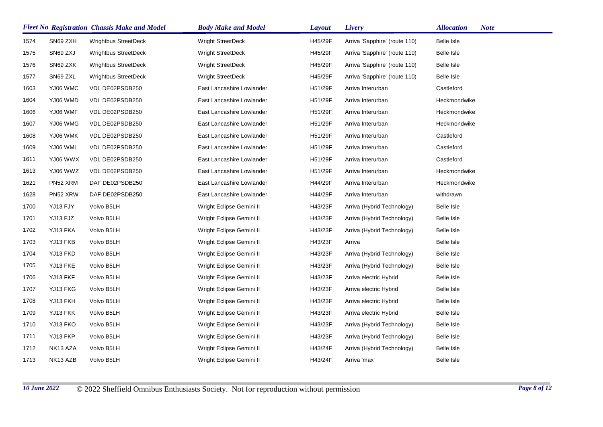|      |          | <b>Fleet No Registration Chassis Make and Model</b> | <b>Body Make and Model</b> | <b>Layout</b> | Livery                        | <b>Note</b><br><b>Allocation</b> |
|------|----------|-----------------------------------------------------|----------------------------|---------------|-------------------------------|----------------------------------|
| 1574 | SN69 ZXH | <b>Wrightbus StreetDeck</b>                         | <b>Wright StreetDeck</b>   | H45/29F       | Arriva 'Sapphire' (route 110) | Belle Isle                       |
| 1575 | SN69 ZXJ | <b>Wrightbus StreetDeck</b>                         | <b>Wright StreetDeck</b>   | H45/29F       | Arriva 'Sapphire' (route 110) | Belle Isle                       |
| 1576 | SN69 ZXK | <b>Wrightbus StreetDeck</b>                         | <b>Wright StreetDeck</b>   | H45/29F       | Arriva 'Sapphire' (route 110) | Belle Isle                       |
| 1577 | SN69 ZXL | <b>Wrightbus StreetDeck</b>                         | <b>Wright StreetDeck</b>   | H45/29F       | Arriva 'Sapphire' (route 110) | Belle Isle                       |
| 1603 | YJ06 WMC | VDL DE02PSDB250                                     | East Lancashire Lowlander  | H51/29F       | Arriva Interurban             | Castleford                       |
| 1604 | YJ06 WMD | VDL DE02PSDB250                                     | East Lancashire Lowlander  | H51/29F       | Arriva Interurban             | Heckmondwike                     |
| 1606 | YJ06 WMF | VDL DE02PSDB250                                     | East Lancashire Lowlander  | H51/29F       | Arriva Interurban             | Heckmondwike                     |
| 1607 | YJ06 WMG | VDL DE02PSDB250                                     | East Lancashire Lowlander  | H51/29F       | Arriva Interurban             | Heckmondwike                     |
| 1608 | YJ06 WMK | VDL DE02PSDB250                                     | East Lancashire Lowlander  | H51/29F       | Arriva Interurban             | Castleford                       |
| 1609 | YJ06 WML | VDL DE02PSDB250                                     | East Lancashire Lowlander  | H51/29F       | Arriva Interurban             | Castleford                       |
| 1611 | YJ06 WWX | VDL DE02PSDB250                                     | East Lancashire Lowlander  | H51/29F       | Arriva Interurban             | Castleford                       |
| 1613 | YJ06 WWZ | VDL DE02PSDB250                                     | East Lancashire Lowlander  | H51/29F       | Arriva Interurban             | Heckmondwike                     |
| 1621 | PN52 XRM | DAF DE02PSDB250                                     | East Lancashire Lowlander  | H44/29F       | Arriva Interurban             | Heckmondwike                     |
| 1628 | PN52 XRW | DAF DE02PSDB250                                     | East Lancashire Lowlander  | H44/29F       | Arriva Interurban             | withdrawn                        |
| 1700 | YJ13 FJY | Volvo B5LH                                          | Wright Eclipse Gemini II   | H43/23F       | Arriva (Hybrid Technology)    | Belle Isle                       |
| 1701 | YJ13 FJZ | Volvo B5LH                                          | Wright Eclipse Gemini II   | H43/23F       | Arriva (Hybrid Technology)    | Belle Isle                       |
| 1702 | YJ13 FKA | Volvo B5LH                                          | Wright Eclipse Gemini II   | H43/23F       | Arriva (Hybrid Technology)    | Belle Isle                       |
| 1703 | YJ13 FKB | Volvo B5LH                                          | Wright Eclipse Gemini II   | H43/23F       | Arriva                        | Belle Isle                       |
| 1704 | YJ13 FKD | Volvo B5LH                                          | Wright Eclipse Gemini II   | H43/23F       | Arriva (Hybrid Technology)    | <b>Belle Isle</b>                |
| 1705 | YJ13 FKE | Volvo B5LH                                          | Wright Eclipse Gemini II   | H43/23F       | Arriva (Hybrid Technology)    | <b>Belle Isle</b>                |
| 1706 | YJ13 FKF | Volvo B5LH                                          | Wright Eclipse Gemini II   | H43/23F       | Arriva electric Hybrid        | <b>Belle Isle</b>                |
| 1707 | YJ13 FKG | Volvo B5LH                                          | Wright Eclipse Gemini II   | H43/23F       | Arriva electric Hybrid        | Belle Isle                       |
| 1708 | YJ13 FKH | Volvo B5LH                                          | Wright Eclipse Gemini II   | H43/23F       | Arriva electric Hybrid        | <b>Belle Isle</b>                |
| 1709 | YJ13 FKK | Volvo B5LH                                          | Wright Eclipse Gemini II   | H43/23F       | Arriva electric Hybrid        | Belle Isle                       |
| 1710 | YJ13 FKO | Volvo B5LH                                          | Wright Eclipse Gemini II   | H43/23F       | Arriva (Hybrid Technology)    | Belle Isle                       |
| 1711 | YJ13 FKP | Volvo B5LH                                          | Wright Eclipse Gemini II   | H43/23F       | Arriva (Hybrid Technology)    | <b>Belle Isle</b>                |
| 1712 | NK13 AZA | Volvo B5LH                                          | Wright Eclipse Gemini II   | H43/24F       | Arriva (Hybrid Technology)    | <b>Belle Isle</b>                |
| 1713 | NK13 AZB | Volvo B5LH                                          | Wright Eclipse Gemini II   | H43/24F       | Arriva 'max'                  | Belle Isle                       |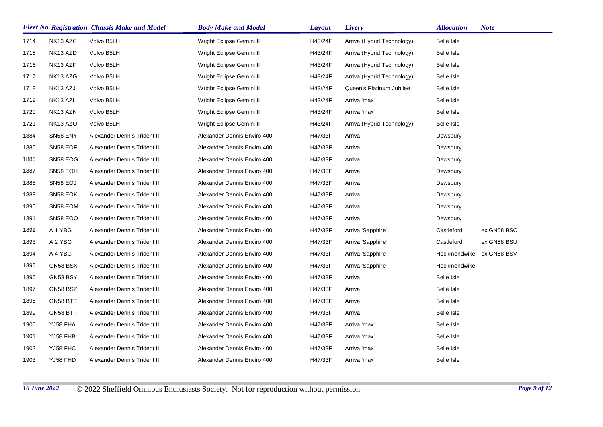|      |                 | <b>Fleet No Registration Chassis Make and Model</b> | <b>Body Make and Model</b>  | <b>Layout</b> | Livery                     | <b>Allocation</b> | <b>Note</b> |
|------|-----------------|-----------------------------------------------------|-----------------------------|---------------|----------------------------|-------------------|-------------|
| 1714 | NK13 AZC        | Volvo B5LH                                          | Wright Eclipse Gemini II    | H43/24F       | Arriva (Hybrid Technology) | Belle Isle        |             |
| 1715 | NK13 AZD        | Volvo B5LH                                          | Wright Eclipse Gemini II    | H43/24F       | Arriva (Hybrid Technology) | Belle Isle        |             |
| 1716 | NK13 AZF        | Volvo B5LH                                          | Wright Eclipse Gemini II    | H43/24F       | Arriva (Hybrid Technology) | Belle Isle        |             |
| 1717 | NK13 AZG        | Volvo B5LH                                          | Wright Eclipse Gemini II    | H43/24F       | Arriva (Hybrid Technology) | Belle Isle        |             |
| 1718 | NK13 AZJ        | Volvo B5LH                                          | Wright Eclipse Gemini II    | H43/24F       | Queen's Platinum Jubilee   | Belle Isle        |             |
| 1719 | NK13 AZL        | Volvo B5LH                                          | Wright Eclipse Gemini II    | H43/24F       | Arriva 'max'               | Belle Isle        |             |
| 1720 | NK13 AZN        | Volvo B5LH                                          | Wright Eclipse Gemini II    | H43/24F       | Arriva 'max'               | <b>Belle Isle</b> |             |
| 1721 | NK13 AZO        | Volvo B5LH                                          | Wright Eclipse Gemini II    | H43/24F       | Arriva (Hybrid Technology) | Belle Isle        |             |
| 1884 | SN58 ENY        | Alexander Dennis Trident II                         | Alexander Dennis Enviro 400 | H47/33F       | Arriva                     | Dewsbury          |             |
| 1885 | SN58 EOF        | Alexander Dennis Trident II                         | Alexander Dennis Enviro 400 | H47/33F       | Arriva                     | Dewsbury          |             |
| 1886 | SN58 EOG        | Alexander Dennis Trident II                         | Alexander Dennis Enviro 400 | H47/33F       | Arriva                     | Dewsbury          |             |
| 1887 | SN58 EOH        | Alexander Dennis Trident II                         | Alexander Dennis Enviro 400 | H47/33F       | Arriva                     | Dewsbury          |             |
| 1888 | SN58 EOJ        | Alexander Dennis Trident II                         | Alexander Dennis Enviro 400 | H47/33F       | Arriva                     | Dewsbury          |             |
| 1889 | SN58 EOK        | Alexander Dennis Trident II                         | Alexander Dennis Enviro 400 | H47/33F       | Arriva                     | Dewsbury          |             |
| 1890 | SN58 EOM        | Alexander Dennis Trident II                         | Alexander Dennis Enviro 400 | H47/33F       | Arriva                     | Dewsbury          |             |
| 1891 | <b>SN58 EOO</b> | Alexander Dennis Trident II                         | Alexander Dennis Enviro 400 | H47/33F       | Arriva                     | Dewsbury          |             |
| 1892 | A 1 YBG         | Alexander Dennis Trident II                         | Alexander Dennis Enviro 400 | H47/33F       | Arriva 'Sapphire'          | Castleford        | ex GN58 BSO |
| 1893 | A 2 YBG         | Alexander Dennis Trident II                         | Alexander Dennis Enviro 400 | H47/33F       | Arriva 'Sapphire'          | Castleford        | ex GN58 BSU |
| 1894 | A 4 YBG         | Alexander Dennis Trident II                         | Alexander Dennis Enviro 400 | H47/33F       | Arriva 'Sapphire'          | Heckmondwike      | ex GN58 BSV |
| 1895 | GN58 BSX        | Alexander Dennis Trident II                         | Alexander Dennis Enviro 400 | H47/33F       | Arriva 'Sapphire'          | Heckmondwike      |             |
| 1896 | GN58 BSY        | Alexander Dennis Trident II                         | Alexander Dennis Enviro 400 | H47/33F       | Arriva                     | Belle Isle        |             |
| 1897 | GN58 BSZ        | Alexander Dennis Trident II                         | Alexander Dennis Enviro 400 | H47/33F       | Arriva                     | Belle Isle        |             |
| 1898 | GN58 BTE        | Alexander Dennis Trident II                         | Alexander Dennis Enviro 400 | H47/33F       | Arriva                     | Belle Isle        |             |
| 1899 | GN58 BTF        | Alexander Dennis Trident II                         | Alexander Dennis Enviro 400 | H47/33F       | Arriva                     | Belle Isle        |             |
| 1900 | YJ58 FHA        | Alexander Dennis Trident II                         | Alexander Dennis Enviro 400 | H47/33F       | Arriva 'max'               | Belle Isle        |             |
| 1901 | YJ58 FHB        | Alexander Dennis Trident II                         | Alexander Dennis Enviro 400 | H47/33F       | Arriva 'max'               | Belle Isle        |             |
| 1902 | YJ58 FHC        | Alexander Dennis Trident II                         | Alexander Dennis Enviro 400 | H47/33F       | Arriva 'max'               | Belle Isle        |             |
| 1903 | YJ58 FHD        | Alexander Dennis Trident II                         | Alexander Dennis Enviro 400 | H47/33F       | Arriva 'max'               | <b>Belle Isle</b> |             |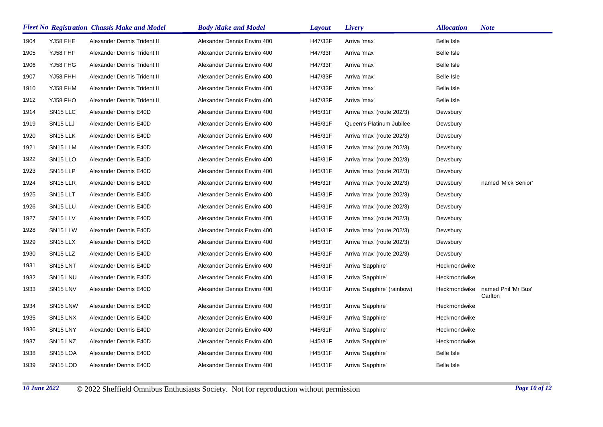|      |                                  | <b>Fleet No Registration Chassis Make and Model</b> | <b>Body Make and Model</b>  | <b>Layout</b> | Livery                      | <b>Allocation</b> | <b>Note</b>                    |
|------|----------------------------------|-----------------------------------------------------|-----------------------------|---------------|-----------------------------|-------------------|--------------------------------|
| 1904 | YJ58 FHE                         | Alexander Dennis Trident II                         | Alexander Dennis Enviro 400 | H47/33F       | Arriva 'max'                | Belle Isle        |                                |
| 1905 | YJ58 FHF                         | Alexander Dennis Trident II                         | Alexander Dennis Enviro 400 | H47/33F       | Arriva 'max'                | Belle Isle        |                                |
| 1906 | YJ58 FHG                         | Alexander Dennis Trident II                         | Alexander Dennis Enviro 400 | H47/33F       | Arriva 'max'                | Belle Isle        |                                |
| 1907 | YJ58 FHH                         | Alexander Dennis Trident II                         | Alexander Dennis Enviro 400 | H47/33F       | Arriva 'max'                | <b>Belle Isle</b> |                                |
| 1910 | YJ58 FHM                         | Alexander Dennis Trident II                         | Alexander Dennis Enviro 400 | H47/33F       | Arriva 'max'                | <b>Belle Isle</b> |                                |
| 1912 | YJ58 FHO                         | Alexander Dennis Trident II                         | Alexander Dennis Enviro 400 | H47/33F       | Arriva 'max'                | Belle Isle        |                                |
| 1914 | SN <sub>15</sub> LLC             | Alexander Dennis E40D                               | Alexander Dennis Enviro 400 | H45/31F       | Arriva 'max' (route 202/3)  | Dewsbury          |                                |
| 1919 | SN <sub>15</sub> LLJ             | Alexander Dennis E40D                               | Alexander Dennis Enviro 400 | H45/31F       | Queen's Platinum Jubilee    | Dewsbury          |                                |
| 1920 | SN <sub>15</sub> LLK             | Alexander Dennis E40D                               | Alexander Dennis Enviro 400 | H45/31F       | Arriva 'max' (route 202/3)  | Dewsbury          |                                |
| 1921 | SN <sub>15</sub> LLM             | Alexander Dennis E40D                               | Alexander Dennis Enviro 400 | H45/31F       | Arriva 'max' (route 202/3)  | Dewsbury          |                                |
| 1922 | SN <sub>15</sub> LLO             | Alexander Dennis E40D                               | Alexander Dennis Enviro 400 | H45/31F       | Arriva 'max' (route 202/3)  | Dewsbury          |                                |
| 1923 | SN <sub>15</sub> LLP             | Alexander Dennis E40D                               | Alexander Dennis Enviro 400 | H45/31F       | Arriva 'max' (route 202/3)  | Dewsbury          |                                |
| 1924 | SN <sub>15</sub> LLR             | Alexander Dennis E40D                               | Alexander Dennis Enviro 400 | H45/31F       | Arriva 'max' (route 202/3)  | Dewsbury          | named 'Mick Senior'            |
| 1925 | SN <sub>15</sub> LLT             | Alexander Dennis E40D                               | Alexander Dennis Enviro 400 | H45/31F       | Arriva 'max' (route 202/3)  | Dewsbury          |                                |
| 1926 | SN <sub>15</sub> LLU             | Alexander Dennis E40D                               | Alexander Dennis Enviro 400 | H45/31F       | Arriva 'max' (route 202/3)  | Dewsbury          |                                |
| 1927 | SN <sub>15</sub> LLV             | Alexander Dennis E40D                               | Alexander Dennis Enviro 400 | H45/31F       | Arriva 'max' (route 202/3)  | Dewsbury          |                                |
| 1928 | SN <sub>15</sub> LLW             | Alexander Dennis E40D                               | Alexander Dennis Enviro 400 | H45/31F       | Arriva 'max' (route 202/3)  | Dewsbury          |                                |
| 1929 | SN <sub>15</sub> LLX             | Alexander Dennis E40D                               | Alexander Dennis Enviro 400 | H45/31F       | Arriva 'max' (route 202/3)  | Dewsbury          |                                |
| 1930 | SN <sub>15</sub> LLZ             | Alexander Dennis E40D                               | Alexander Dennis Enviro 400 | H45/31F       | Arriva 'max' (route 202/3)  | Dewsbury          |                                |
| 1931 | SN <sub>15</sub> LNT             | Alexander Dennis E40D                               | Alexander Dennis Enviro 400 | H45/31F       | Arriva 'Sapphire'           | Heckmondwike      |                                |
| 1932 | SN <sub>15</sub> LNU             | Alexander Dennis E40D                               | Alexander Dennis Enviro 400 | H45/31F       | Arriva 'Sapphire'           | Heckmondwike      |                                |
| 1933 | SN <sub>15</sub> LNV             | Alexander Dennis E40D                               | Alexander Dennis Enviro 400 | H45/31F       | Arriva 'Sapphire' (rainbow) | Heckmondwike      | named Phil 'Mr Bus'<br>Carlton |
| 1934 | SN <sub>15</sub> LNW             | Alexander Dennis E40D                               | Alexander Dennis Enviro 400 | H45/31F       | Arriva 'Sapphire'           | Heckmondwike      |                                |
| 1935 | SN <sub>15</sub> LN <sub>X</sub> | Alexander Dennis E40D                               | Alexander Dennis Enviro 400 | H45/31F       | Arriva 'Sapphire'           | Heckmondwike      |                                |
| 1936 | SN <sub>15</sub> LNY             | Alexander Dennis E40D                               | Alexander Dennis Enviro 400 | H45/31F       | Arriva 'Sapphire'           | Heckmondwike      |                                |
| 1937 | SN <sub>15</sub> LN <sub>Z</sub> | Alexander Dennis E40D                               | Alexander Dennis Enviro 400 | H45/31F       | Arriva 'Sapphire'           | Heckmondwike      |                                |
| 1938 | SN <sub>15</sub> LOA             | Alexander Dennis E40D                               | Alexander Dennis Enviro 400 | H45/31F       | Arriva 'Sapphire'           | Belle Isle        |                                |
| 1939 | SN <sub>15</sub> LOD             | Alexander Dennis E40D                               | Alexander Dennis Enviro 400 | H45/31F       | Arriva 'Sapphire'           | Belle Isle        |                                |

*10 June 2022* © 2022 Sheffield Omnibus Enthusiasts Society. Not for reproduction without permission *Page 10 of 12*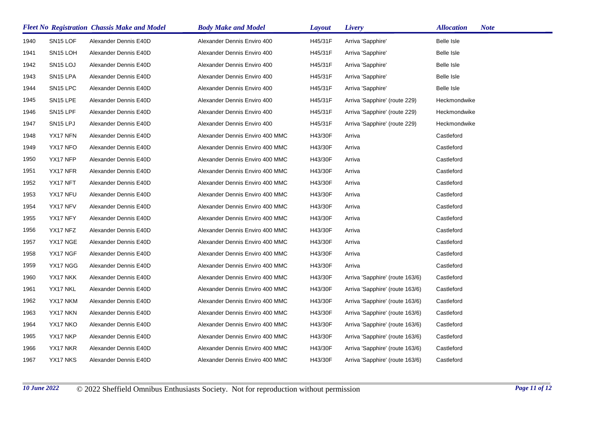|      |                      | <b>Fleet No Registration Chassis Make and Model</b> | <b>Body Make and Model</b>      | <b>Layout</b> | Livery                          | <b>Allocation</b><br><b>Note</b> |
|------|----------------------|-----------------------------------------------------|---------------------------------|---------------|---------------------------------|----------------------------------|
| 1940 | SN <sub>15</sub> LOF | Alexander Dennis E40D                               | Alexander Dennis Enviro 400     | H45/31F       | Arriva 'Sapphire'               | <b>Belle Isle</b>                |
| 1941 | SN <sub>15</sub> LOH | Alexander Dennis E40D                               | Alexander Dennis Enviro 400     | H45/31F       | Arriva 'Sapphire'               | Belle Isle                       |
| 1942 | SN <sub>15</sub> LOJ | Alexander Dennis E40D                               | Alexander Dennis Enviro 400     | H45/31F       | Arriva 'Sapphire'               | <b>Belle Isle</b>                |
| 1943 | SN <sub>15</sub> LPA | Alexander Dennis E40D                               | Alexander Dennis Enviro 400     | H45/31F       | Arriva 'Sapphire'               | Belle Isle                       |
| 1944 | SN <sub>15</sub> LPC | Alexander Dennis E40D                               | Alexander Dennis Enviro 400     | H45/31F       | Arriva 'Sapphire'               | <b>Belle Isle</b>                |
| 1945 | SN <sub>15</sub> LPE | Alexander Dennis E40D                               | Alexander Dennis Enviro 400     | H45/31F       | Arriva 'Sapphire' (route 229)   | Heckmondwike                     |
| 1946 | SN <sub>15</sub> LPF | Alexander Dennis E40D                               | Alexander Dennis Enviro 400     | H45/31F       | Arriva 'Sapphire' (route 229)   | Heckmondwike                     |
| 1947 | SN <sub>15</sub> LPJ | Alexander Dennis E40D                               | Alexander Dennis Enviro 400     | H45/31F       | Arriva 'Sapphire' (route 229)   | Heckmondwike                     |
| 1948 | YX17 NFN             | Alexander Dennis E40D                               | Alexander Dennis Enviro 400 MMC | H43/30F       | Arriva                          | Castleford                       |
| 1949 | YX17 NFO             | Alexander Dennis E40D                               | Alexander Dennis Enviro 400 MMC | H43/30F       | Arriva                          | Castleford                       |
| 1950 | YX17 NFP             | Alexander Dennis E40D                               | Alexander Dennis Enviro 400 MMC | H43/30F       | Arriva                          | Castleford                       |
| 1951 | YX17 NFR             | Alexander Dennis E40D                               | Alexander Dennis Enviro 400 MMC | H43/30F       | Arriva                          | Castleford                       |
| 1952 | YX17 NFT             | Alexander Dennis E40D                               | Alexander Dennis Enviro 400 MMC | H43/30F       | Arriva                          | Castleford                       |
| 1953 | YX17 NFU             | Alexander Dennis E40D                               | Alexander Dennis Enviro 400 MMC | H43/30F       | Arriva                          | Castleford                       |
| 1954 | YX17 NFV             | Alexander Dennis E40D                               | Alexander Dennis Enviro 400 MMC | H43/30F       | Arriva                          | Castleford                       |
| 1955 | YX17 NFY             | Alexander Dennis E40D                               | Alexander Dennis Enviro 400 MMC | H43/30F       | Arriva                          | Castleford                       |
| 1956 | YX17 NFZ             | Alexander Dennis E40D                               | Alexander Dennis Enviro 400 MMC | H43/30F       | Arriva                          | Castleford                       |
| 1957 | YX17 NGE             | Alexander Dennis E40D                               | Alexander Dennis Enviro 400 MMC | H43/30F       | Arriva                          | Castleford                       |
| 1958 | YX17 NGF             | Alexander Dennis E40D                               | Alexander Dennis Enviro 400 MMC | H43/30F       | Arriva                          | Castleford                       |
| 1959 | YX17 NGG             | Alexander Dennis E40D                               | Alexander Dennis Enviro 400 MMC | H43/30F       | Arriva                          | Castleford                       |
| 1960 | YX17 NKK             | Alexander Dennis E40D                               | Alexander Dennis Enviro 400 MMC | H43/30F       | Arriva 'Sapphire' (route 163/6) | Castleford                       |
| 1961 | YX17 NKL             | Alexander Dennis E40D                               | Alexander Dennis Enviro 400 MMC | H43/30F       | Arriva 'Sapphire' (route 163/6) | Castleford                       |
| 1962 | YX17 NKM             | Alexander Dennis E40D                               | Alexander Dennis Enviro 400 MMC | H43/30F       | Arriva 'Sapphire' (route 163/6) | Castleford                       |
| 1963 | YX17 NKN             | Alexander Dennis E40D                               | Alexander Dennis Enviro 400 MMC | H43/30F       | Arriva 'Sapphire' (route 163/6) | Castleford                       |
| 1964 | YX17 NKO             | Alexander Dennis E40D                               | Alexander Dennis Enviro 400 MMC | H43/30F       | Arriva 'Sapphire' (route 163/6) | Castleford                       |
| 1965 | YX17 NKP             | Alexander Dennis E40D                               | Alexander Dennis Enviro 400 MMC | H43/30F       | Arriva 'Sapphire' (route 163/6) | Castleford                       |
| 1966 | YX17 NKR             | Alexander Dennis E40D                               | Alexander Dennis Enviro 400 MMC | H43/30F       | Arriva 'Sapphire' (route 163/6) | Castleford                       |
| 1967 | YX17 NKS             | Alexander Dennis E40D                               | Alexander Dennis Enviro 400 MMC | H43/30F       | Arriva 'Sapphire' (route 163/6) | Castleford                       |